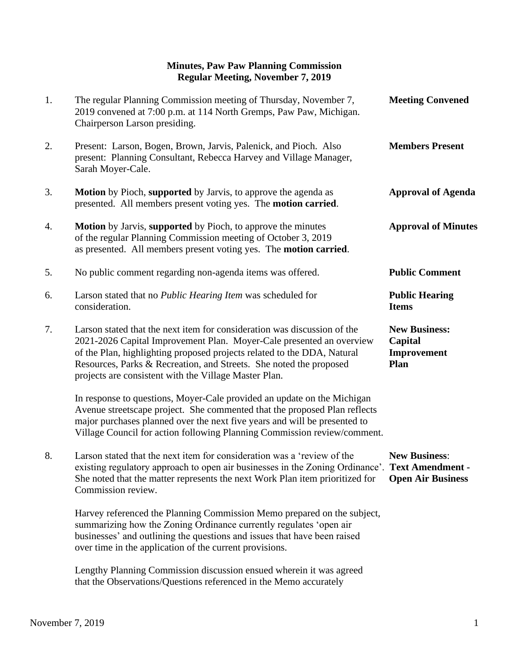## **Minutes, Paw Paw Planning Commission Regular Meeting, November 7, 2019**

| 1. | The regular Planning Commission meeting of Thursday, November 7,<br>2019 convened at 7:00 p.m. at 114 North Gremps, Paw Paw, Michigan.<br>Chairperson Larson presiding.                                                                                                                                                                                    | <b>Meeting Convened</b>                                |
|----|------------------------------------------------------------------------------------------------------------------------------------------------------------------------------------------------------------------------------------------------------------------------------------------------------------------------------------------------------------|--------------------------------------------------------|
| 2. | Present: Larson, Bogen, Brown, Jarvis, Palenick, and Pioch. Also<br>present: Planning Consultant, Rebecca Harvey and Village Manager,<br>Sarah Moyer-Cale.                                                                                                                                                                                                 | <b>Members Present</b>                                 |
| 3. | <b>Motion</b> by Pioch, supported by Jarvis, to approve the agenda as<br>presented. All members present voting yes. The motion carried.                                                                                                                                                                                                                    | <b>Approval of Agenda</b>                              |
| 4. | <b>Motion</b> by Jarvis, supported by Pioch, to approve the minutes<br>of the regular Planning Commission meeting of October 3, 2019<br>as presented. All members present voting yes. The motion carried.                                                                                                                                                  | <b>Approval of Minutes</b>                             |
| 5. | No public comment regarding non-agenda items was offered.                                                                                                                                                                                                                                                                                                  | <b>Public Comment</b>                                  |
| 6. | Larson stated that no <i>Public Hearing Item</i> was scheduled for<br>consideration.                                                                                                                                                                                                                                                                       | <b>Public Hearing</b><br><b>Items</b>                  |
| 7. | Larson stated that the next item for consideration was discussion of the<br>2021-2026 Capital Improvement Plan. Moyer-Cale presented an overview<br>of the Plan, highlighting proposed projects related to the DDA, Natural<br>Resources, Parks & Recreation, and Streets. She noted the proposed<br>projects are consistent with the Village Master Plan. | <b>New Business:</b><br>Capital<br>Improvement<br>Plan |
|    | In response to questions, Moyer-Cale provided an update on the Michigan<br>Avenue streetscape project. She commented that the proposed Plan reflects<br>major purchases planned over the next five years and will be presented to<br>Village Council for action following Planning Commission review/comment.                                              |                                                        |
| 8. | Larson stated that the next item for consideration was a 'review of the<br>existing regulatory approach to open air businesses in the Zoning Ordinance'. Text Amendment -<br>She noted that the matter represents the next Work Plan item prioritized for<br>Commission review.                                                                            | <b>New Business:</b><br><b>Open Air Business</b>       |
|    | Harvey referenced the Planning Commission Memo prepared on the subject,<br>summarizing how the Zoning Ordinance currently regulates 'open air<br>businesses' and outlining the questions and issues that have been raised<br>over time in the application of the current provisions.                                                                       |                                                        |
|    | Lengthy Planning Commission discussion ensued wherein it was agreed                                                                                                                                                                                                                                                                                        |                                                        |

that the Observations/Questions referenced in the Memo accurately